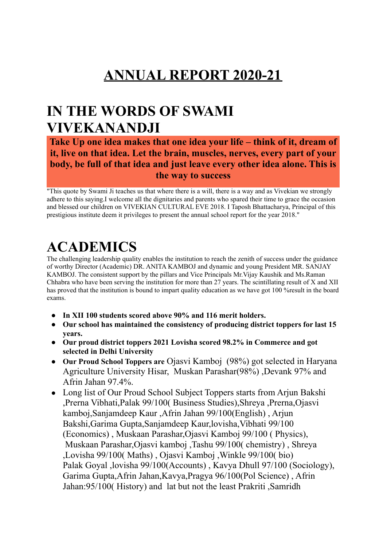## **ANNUAL REPORT 2020-21**

### **IN THE WORDS OF SWAMI VIVEKANANDJI**

#### **Take Up one idea makes that one idea your life – think of it, dream of it, live on that idea. Let the brain, muscles, nerves, every part of your body, be full of that idea and just leave every other idea alone. This is the way to success**

"This quote by Swami Ji teaches us that where there is a will, there is a way and as Vivekian we strongly adhere to this saying.I welcome all the dignitaries and parents who spared their time to grace the occasion and blessed our children on VIVEKIAN CULTURAL EVE 2018. I Taposh Bhattacharya, Principal of this prestigious institute deem it privileges to present the annual school report for the year 2018."

# **ACADEMICS**

The challenging leadership quality enables the institution to reach the zenith of success under the guidance of worthy Director (Academic) DR. ANITA KAMBOJ and dynamic and young President MR. SANJAY KAMBOJ. The consistent support by the pillars and Vice Principals Mr.Vijay Kaushik and Ms.Raman Chhabra who have been serving the institution for more than 27 years. The scintillating result of X and XII has proved that the institution is bound to impart quality education as we have got 100 %result in the board exams.

- **● In XII 100 students scored above 90% and 116 merit holders.**
- **● Our school has maintained the consistency of producing district toppers for last 15 years.**
- **● Our proud district toppers 2021 Lovisha scored 98.2% in Commerce and got selected in Delhi University**
- **● Our Proud School Toppers are** Ojasvi Kamboj (98%) got selected in Haryana Agriculture University Hisar, Muskan Parashar(98%) ,Devank 97% and Afrin Jahan 97.4%.
- **●** Long list of Our Proud School Subject Toppers starts from Arjun Bakshi ,Prerna Vibhati,Palak 99/100( Business Studies),Shreya ,Prerna,Ojasvi kamboj,Sanjamdeep Kaur ,Afrin Jahan 99/100(English) , Arjun Bakshi,Garima Gupta,Sanjamdeep Kaur,lovisha,Vibhati 99/100 (Economics) , Muskaan Parashar,Ojasvi Kamboj 99/100 ( Physics), Muskaan Parashar,Ojasvi kamboj ,Tashu 99/100( chemistry) , Shreya ,Lovisha 99/100( Maths) , Ojasvi Kamboj ,Winkle 99/100( bio) Palak Goyal ,lovisha 99/100(Accounts) , Kavya Dhull 97/100 (Sociology), Garima Gupta,Afrin Jahan,Kavya,Pragya 96/100(Pol Science) , Afrin Jahan:95/100( History) and lat but not the least Prakriti ,Samridh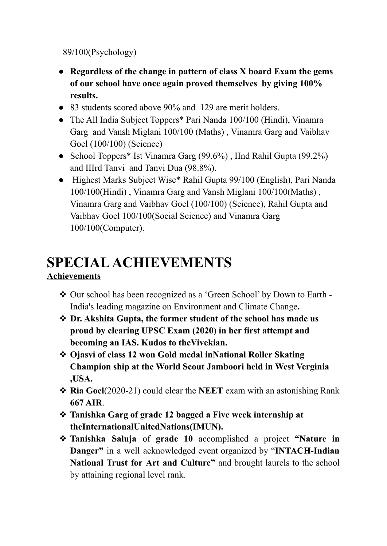89/100(Psychology)

- **● Regardless of the change in pattern of class X board Exam the gems of our school have once again proved themselves by giving 100% results.**
- 83 students scored above 90% and 129 are merit holders.
- The All India Subject Toppers\* Pari Nanda 100/100 (Hindi), Vinamra Garg and Vansh Miglani 100/100 (Maths) , Vinamra Garg and Vaibhav Goel (100/100) (Science)
- School Toppers\* Ist Vinamra Garg (99.6%), IInd Rahil Gupta (99.2%) and IIIrd Tanvi and Tanvi Dua (98.8%).
- Highest Marks Subject Wise\* Rahil Gupta 99/100 (English), Pari Nanda 100/100(Hindi) , Vinamra Garg and Vansh Miglani 100/100(Maths) , Vinamra Garg and Vaibhav Goel (100/100) (Science), Rahil Gupta and Vaibhav Goel 100/100(Social Science) and Vinamra Garg 100/100(Computer).

## **SPECIALACHIEVEMENTS**

### **Achievements**

- ❖ Our school has been recognized as a 'Green School' by Down to Earth India's leading magazine on Environment and Climate Change**.**
- ❖ **Dr. Akshita Gupta, the former student of the school has made us proud by clearing UPSC Exam (2020) in her first attempt and becoming an IAS. Kudos to theVivekian.**
- ❖ **Ojasvi of class 12 won Gold medal inNational Roller Skating Champion ship at the World Scout Jamboori held in West Verginia ,USA.**
- ❖ **Ria Goel**(2020-21) could clear the **NEET** exam with an astonishing Rank **667 AIR**.
- ❖ **Tanishka Garg of grade 12 bagged a Five week internship at theInternationalUnitedNations(IMUN).**
- ❖ **Tanishka Saluja** of **grade 10** accomplished a project **"Nature in Danger"** in a well acknowledged event organized by "**INTACH-Indian National Trust for Art and Culture"** and brought laurels to the school by attaining regional level rank.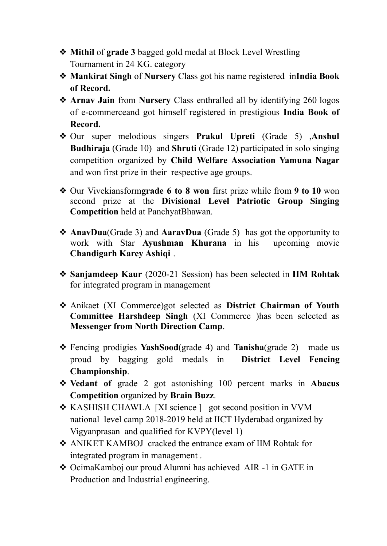- ❖ **Mithil** of **grade 3** bagged gold medal at Block Level Wrestling Tournament in 24 KG. category
- ❖ **Mankirat Singh** of **Nursery** Class got his name registered in**India Book of Record.**
- ❖ **Arnav Jain** from **Nursery** Class enthralled all by identifying 260 logos of e-commerceand got himself registered in prestigious **India Book of Record.**
- ❖ Our super melodious singers **Prakul Upreti** (Grade 5) ,**Anshul Budhiraja** (Grade 10) and **Shruti** (Grade 12) participated in solo singing competition organized by **Child Welfare Association Yamuna Nagar** and won first prize in their respective age groups.
- ❖ Our Vivekiansform**grade 6 to 8 won** first prize while from **9 to 10** won second prize at the **Divisional Level Patriotic Group Singing Competition** held at PanchyatBhawan.
- ❖ **AnavDua**(Grade 3) and **AaravDua** (Grade 5) has got the opportunity to work with Star **Ayushman Khurana** in his upcoming movie **Chandigarh Karey Ashiqi** .
- ❖ **Sanjamdeep Kaur** (2020-21 Session) has been selected in **IIM Rohtak** for integrated program in management
- ❖ Anikaet (XI Commerce)got selected as **District Chairman of Youth Committee Harshdeep Singh** (XI Commerce )has been selected as **Messenger from North Direction Camp**.
- ❖ Fencing prodigies **YashSood**(grade 4) and **Tanisha**(grade 2) made us proud by bagging gold medals in **District Level Fencing Championship**.
- ❖ **Vedant of** grade 2 got astonishing 100 percent marks in **Abacus Competition** organized by **Brain Buzz**.
- ❖ KASHISH CHAWLA [XI science ] got second position in VVM national level camp 2018-2019 held at IICT Hyderabad organized by Vigyanprasan and qualified for KVPY(level 1)
- ❖ ANIKET KAMBOJ cracked the entrance exam of IIM Rohtak for integrated program in management .
- ❖ OcimaKamboj our proud Alumni has achieved AIR -1 in GATE in Production and Industrial engineering.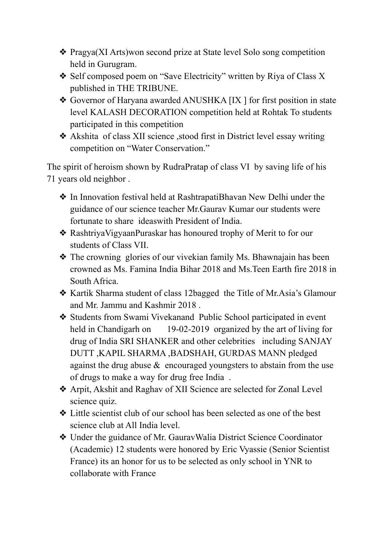- ❖ Pragya(XI Arts)won second prize at State level Solo song competition held in Gurugram.
- ❖ Self composed poem on "Save Electricity" written by Riya of Class X published in THE TRIBUNE.
- ❖ Governor of Haryana awarded ANUSHKA [IX ] for first position in state level KALASH DECORATION competition held at Rohtak To students participated in this competition
- ❖ Akshita of class XII science ,stood first in District level essay writing competition on "Water Conservation."

The spirit of heroism shown by RudraPratap of class VI by saving life of his 71 years old neighbor .

- ❖ In Innovation festival held at RashtrapatiBhavan New Delhi under the guidance of our science teacher Mr.Gaurav Kumar our students were fortunate to share ideaswith President of India.
- ❖ RashtriyaVigyaanPuraskar has honoured trophy of Merit to for our students of Class VII.
- ❖ The crowning glories of our vivekian family Ms. Bhawnajain has been crowned as Ms. Famina India Bihar 2018 and Ms.Teen Earth fire 2018 in South Africa.
- ❖ Kartik Sharma student of class 12bagged the Title of Mr.Asia's Glamour and Mr. Jammu and Kashmir 2018 .
- ❖ Students from Swami Vivekanand Public School participated in event held in Chandigarh on 19-02-2019 organized by the art of living for drug of India SRI SHANKER and other celebrities including SANJAY DUTT ,KAPIL SHARMA ,BADSHAH, GURDAS MANN pledged against the drug abuse & encouraged youngsters to abstain from the use of drugs to make a way for drug free India .
- ❖ Arpit, Akshit and Raghav of XII Science are selected for Zonal Level science quiz.
- ❖ Little scientist club of our school has been selected as one of the best science club at All India level.
- ❖ Under the guidance of Mr. GauravWalia District Science Coordinator (Academic) 12 students were honored by Eric Vyassie (Senior Scientist France) its an honor for us to be selected as only school in YNR to collaborate with France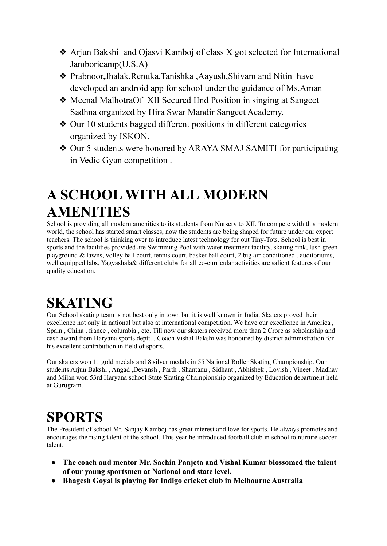- ❖ Arjun Bakshi and Ojasvi Kamboj of class X got selected for International Jamboricamp(U.S.A)
- ❖ Prabnoor,Jhalak,Renuka,Tanishka ,Aayush,Shivam and Nitin have developed an android app for school under the guidance of Ms.Aman
- ❖ Meenal MalhotraOf XII Secured IInd Position in singing at Sangeet Sadhna organized by Hira Swar Mandir Sangeet Academy.
- ❖ Our 10 students bagged different positions in different categories organized by ISKON.
- ❖ Our 5 students were honored by ARAYA SMAJ SAMITI for participating in Vedic Gyan competition .

### **A SCHOOL WITH ALL MODERN AMENITIES**

School is providing all modern amenities to its students from Nursery to XII. To compete with this modern world, the school has started smart classes, now the students are being shaped for future under our expert teachers. The school is thinking over to introduce latest technology for out Tiny-Tots. School is best in sports and the facilities provided are Swimming Pool with water treatment facility, skating rink, lush green playground & lawns, volley ball court, tennis court, basket ball court, 2 big air-conditioned . auditoriums, well equipped labs, Yagyashala& different clubs for all co-curricular activities are salient features of our quality education.

# **SKATING**

Our School skating team is not best only in town but it is well known in India. Skaters proved their excellence not only in national but also at international competition. We have our excellence in America , Spain , China , france , columbia , etc. Till now our skaters received more than 2 Crore as scholarship and cash award from Haryana sports deptt. , Coach Vishal Bakshi was honoured by district administration for his excellent contribution in field of sports.

Our skaters won 11 gold medals and 8 silver medals in 55 National Roller Skating Championship. Our students Arjun Bakshi , Angad ,Devansh , Parth , Shantanu , Sidhant , Abhishek , Lovish , Vineet , Madhav and Milan won 53rd Haryana school State Skating Championship organized by Education department held at Gurugram.

### **SPORTS**

The President of school Mr. Sanjay Kamboj has great interest and love for sports. He always promotes and encourages the rising talent of the school. This year he introduced football club in school to nurture soccer talent.

- **● The coach and mentor Mr. Sachin Panjeta and Vishal Kumar blossomed the talent of our young sportsmen at National and state level.**
- **● Bhagesh Goyal is playing for Indigo cricket club in Melbourne Australia**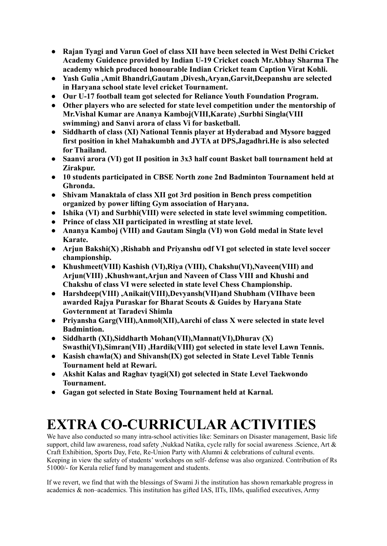- **● Rajan Tyagi and Varun Goel of class XII have been selected in West Delhi Cricket Academy Guidence provided by Indian U-19 Cricket coach Mr.Abhay Sharma The academy which produced honourable Indian Cricket team Caption Virat Kohli.**
- **● Yash Gulia ,Amit Bhandri,Gautam ,Divesh,Aryan,Garvit,Deepanshu are selected in Haryana school state level cricket Tournament.**
- **● Our U-17 football team got selected for Reliance Youth Foundation Program.**
- **● Other players who are selected for state level competition under the mentorship of Mr.Vishal Kumar are Ananya Kamboj(VIII,Karate) ,Surbhi Singla(VIII swimming) and Sanvi arora of class Vi for basketball.**
- **● Siddharth of class (XI) National Tennis player at Hyderabad and Mysore bagged first position in khel Mahakumbh and JYTA at DPS,Jagadhri.He is also selected for Thailand.**
- **● Saanvi arora (VI) got II position in 3x3 half count Basket ball tournament held at Zirakpur.**
- **● 10 students participated in CBSE North zone 2nd Badminton Tournament held at Ghronda.**
- **● Shivam Manaktala of class XII got 3rd position in Bench press competition organized by power lifting Gym association of Haryana.**
- **● Ishika (VI) and Surbhi(VIII) were selected in state level swimming competition.**
- **● Prince of class XII participated in wrestling at state level.**
- **● Ananya Kamboj (VIII) and Gautam Singla (VI) won Gold medal in State level Karate.**
- **● Arjun Bakshi(X) ,Rishabh and Priyanshu odf VI got selected in state level soccer championship.**
- **● Khushmeet(VIII) Kashish (VI),Riya (VIII), Chakshu(VI),Naveen(VIII) and Arjun(VIII) ,Khushwant,Arjun and Naveen of Class VIII and Khushi and Chakshu of class VI were selected in state level Chess Championship.**
- **● Harshdeep(VIII) ,Anikait(VIII),Devyansh(VII)and Shubham (VIIhave been awarded Rajya Puraskar for Bharat Scouts & Guides by Haryana State Govternment at Taradevi Shimla**
- **● Priyansha Garg(VIII),Anmol(XII),Aarchi of class X were selected in state level Badmintion.**
- **● Siddharth (XI),Siddharth Mohan(VII),Mannat(VI),Dhurav (X) Swasthi(VI),Simran(VII) ,Hardik(VIII) got selected in state level Lawn Tennis.**
- **● Kasish chawla(X) and Shivansh(IX) got selected in State Level Table Tennis Tournament held at Rewari.**
- **● Akshit Kalas and Raghav tyagi(XI) got selected in State Level Taekwondo Tournament.**
- **● Gagan got selected in State Boxing Tournament held at Karnal.**

## **EXTRA CO-CURRICULAR ACTIVITIES**

We have also conducted so many intra-school activities like: Seminars on Disaster management, Basic life support, child law awareness, road safety ,Nukkad Natika, cycle rally for social awareness .Science, Art & Craft Exhibition, Sports Day, Fete, Re-Union Party with Alumni & celebrations of cultural events. Keeping in view the safety of students' workshops on self- defense was also organized. Contribution of Rs 51000/- for Kerala relief fund by management and students.

If we revert, we find that with the blessings of Swami Ji the institution has shown remarkable progress in academics & non–academics. This institution has gifted IAS, IITs, IIMs, qualified executives, Army